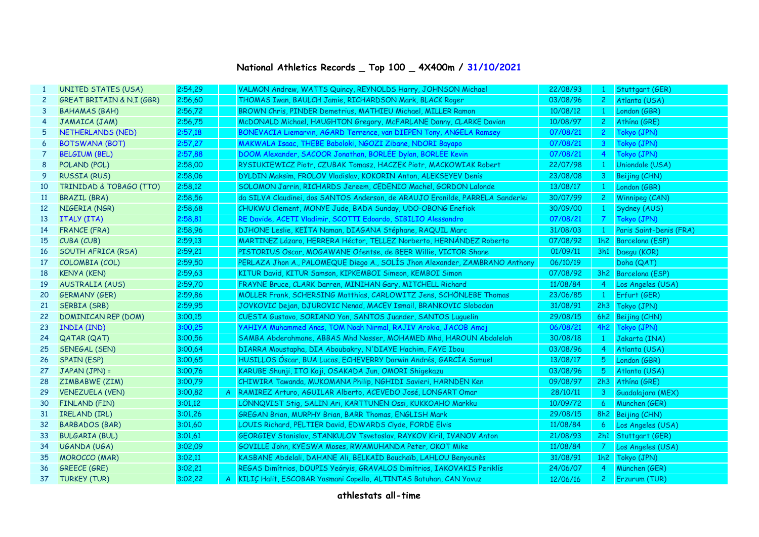## **National Athletics Records \_ Top 100 \_ 4X400m / 31/10/2021**

| 1               | UNITED STATES (USA)        | 2:54,29 |    | VALMON Andrew, WATTS Quincy, REYNOLDS Harry, JOHNSON Michael                   | 22/08/93 | $\mathbf{1}$   | Stuttgart (GER)         |
|-----------------|----------------------------|---------|----|--------------------------------------------------------------------------------|----------|----------------|-------------------------|
| $\mathbf{2}$    | GREAT BRITAIN & N.I (GBR)  | 2:56,60 |    | THOMAS Iwan, BAULCH Jamie, RICHARDSON Mark, BLACK Roger                        | 03/08/96 | $\mathbf{2}$   | Atlanta (USA)           |
| 3               | <b>BAHAMAS (BAH)</b>       | 2:56,72 |    | BROWN Chris, PINDER Demetrius, MATHIEU Michael, MILLER Ramon                   | 10/08/12 | $\mathbf{1}$   | London (GBR)            |
| 4               | JAMAICA (JAM)              | 2:56,75 |    | McDONALD Michael, HAUGHTON Gregory, McFARLANE Danny, CLARKE Davian             | 10/08/97 | $\mathbf{2}$   | Athina (GRE)            |
| 5               | NETHERLANDS (NED)          | 2:57,18 |    | BONEVACIA Liemarvin, AGARD Terrence, van DIEPEN Tony, ANGELA Ramsey            | 07/08/21 | $\mathbf{2}$   | Tokyo (JPN)             |
| 6               | <b>BOTSWANA (BOT)</b>      | 2:57,27 |    | MAKWALA Isaac, THEBE Baboloki, NGOZI Zibane, NDORI Bayapo                      | 07/08/21 | $\mathbf{3}$   | Tokyo (JPN)             |
| $\overline{7}$  | <b>BELGIUM (BEL)</b>       | 2:57,88 |    | DOOM Alexander, SACOOR Jonathan, BORLÉE Dylan, BORLÉE Kevin                    | 07/08/21 | $\overline{4}$ | Tokyo (JPN)             |
| 8               | POLAND (POL)               | 2:58,00 |    | RYSIUKIEWICZ Piotr, CZUBAK Tomasz, HACZEK Piotr, MACKOWIAK Robert              | 22/07/98 | $\mathbf{1}$   | Uniondale (USA)         |
| 9               | <b>RUSSIA (RUS)</b>        | 2:58,06 |    | DYLDIN Maksim, FROLOV Vladislav, KOKORIN Anton, ALEKSEYEV Denis                | 23/08/08 | 3              | Beijing (CHN)           |
| 10              | TRINIDAD & TOBAGO (TTO)    | 2:58,12 |    | SOLOMON Jarrin, RICHARDS Jereem, CEDENIO Machel, GORDON Lalonde                | 13/08/17 | $\mathbf{1}$   | London (GBR)            |
| <b>11</b>       | BRAZIL (BRA)               | 2:58,56 |    | da SILVA Claudinei, dos SANTOS Anderson, de ARAUJO Eronilde, PARRELA Sanderlei | 30/07/99 | $\mathbf{2}$   | Winnipeg (CAN)          |
| 12 <sup>2</sup> | NIGERIA (NGR)              | 2:58,68 |    | CHUKWU Clement, MONYE Jude, BADA Sunday, UDO-OBONG Enefiok                     | 30/09/00 | $\mathbf{1}$   | Sydney (AUS)            |
| 13              | ITALY (ITA)                | 2:58.81 |    | RE Davide, ACETI Vladimir, SCOTTI Edoardo, SIBILIO Alessandro                  | 07/08/21 | 7              | Tokyo (JPN)             |
| 14              | <b>FRANCE (FRA)</b>        | 2:58.96 |    | DJHONE Leslie, KEÏTA Naman, DIAGANA Stéphane, RAQUIL Marc                      | 31/08/03 | $\mathbf{1}$   | Paris Saint-Denis (FRA) |
| 15              | CUBA (CUB)                 | 2:59,13 |    | MARTINEZ Lázaro, HERRERA Héctor, TELLEZ Norberto, HERNÁNDEZ Roberto            | 07/08/92 | 1h2            | Barcelona (ESP)         |
| 16              | SOUTH AFRICA (RSA)         | 2:59.21 |    | PISTORIUS Oscar, MOGAWANE Ofentse, de BEER Willie, VICTOR Shane                | 01/09/11 |                | 3h1 Daegu (KOR)         |
| 17              | COLOMBIA (COL)             | 2:59,50 |    | PERLAZA Jhon A., PALOMEQUE Diego A., SOLIS Jhon Alexander, ZAMBRANO Anthony    | 06/10/19 |                | Doha (QAT)              |
| 18              | <b>KENYA (KEN)</b>         | 2:59,63 |    | KITUR David, KITUR Samson, KIPKEMBOI Simeon, KEMBOI Simon                      | 07/08/92 |                | 3h2 Barcelona (ESP)     |
| 19              | <b>AUSTRALIA (AUS)</b>     | 2:59.70 |    | FRAYNE Bruce, CLARK Darren, MINIHAN Gary, MITCHELL Richard                     | 11/08/84 | <sup>4</sup>   | Los Angeles (USA)       |
| 20              | <b>GERMANY (GER)</b>       | 2:59,86 |    | MÖLLER Frank, SCHERSING Matthias, CARLOWITZ Jens, SCHÖNLEBE Thomas             | 23/06/85 | $\mathbf{1}$   | Erfurt (GER)            |
| 21              | SERBIA (SRB)               | 2:59,95 |    | JOVKOVIC Dejan, DJUROVIC Nenad, MACEV Ismail, BRANKOVIC Slobodan               | 31/08/91 |                | 2h3 Tokyo (JPN)         |
| 22              | <b>DOMINICAN REP (DOM)</b> | 3:00,15 |    | CUESTA Gustavo, SORIANO Yon, SANTOS Juander, SANTOS Luquelin                   | 29/08/15 |                | 6h2 Beijing (CHN)       |
| 23              | INDIA (IND)                | 3:00,25 |    | YAHIYA Muhammed Anas, TOM Noah Nirmal, RAJIV Arokia, JACOB Amoj                | 06/08/21 | 4h2            | Tokyo (JPN)             |
| 24              | <b>QATAR (QAT)</b>         | 3:00,56 |    | SAMBA Abderahmane, ABBAS Mhd Nasser, MOHAMED Mhd, HAROUN Abdalelah             | 30/08/18 | $\mathbf{1}$   | Jakarta (INA)           |
| 25              | SENEGAL (SEN)              | 3:00,64 |    | DIARRA Moustapha, DIA Aboubakry, N'DIAYE Hachim, FAYE Ibou                     | 03/08/96 | -4             | Atlanta (USA)           |
| 26              | <b>SPAIN (ESP)</b>         | 3:00,65 |    | HUSILLOS Óscar, BUA Lucas, ECHEVERRY Darwin Andrés, GARCÍA Samuel              | 13/08/17 | 5              | London (GBR)            |
| 27              | JAPAN (JPN) =              | 3:00,76 |    | KARUBE Shunji, ITO Koji, OSAKADA Jun, OMORI Shigekazu                          | 03/08/96 | 5              | Atlanta (USA)           |
| 28              | ZIMBABWE (ZIM)             | 3:00,79 |    | CHIWIRA Tawanda, MUKOMANA Philip, NGHIDI Savieri, HARNDEN Ken                  | 09/08/97 | 2h3            | Athina (GRE)            |
| 29              | <b>VENEZUELA (VEN)</b>     | 3:00,82 |    | RAMIREZ Arturo, AGUILAR Alberto, ACEVEDO José, LONGART Omar                    | 28/10/11 | $\mathbf{3}$   | Guadalajara (MEX)       |
| 30              | <b>FINLAND (FIN)</b>       | 3:01,12 |    | LÖNNQVIST Stig, SALIN Ari, KARTTUNEN Ossi, KUKKOAHO Markku                     | 10/09/72 | 6              | München (GER)           |
| 31              | IRELAND (IRL)              | 3:01,26 |    | GREGAN Brian, MURPHY Brian, BARR Thomas, ENGLISH Mark                          | 29/08/15 |                | 8h2 Beijing (CHN)       |
| 32              | <b>BARBADOS (BAR)</b>      | 3:01,60 |    | LOUIS Richard, PELTIER David, EDWARDS Clyde, FORDE Elvis                       | 11/08/84 | 6.             | Los Angeles (USA)       |
| 33              | <b>BULGARIA (BUL)</b>      | 3:01,61 |    | GEORGIEV Stanislav, STANKULOV Tsvetoslav, RAYKOV Kiril, IVANOV Anton           | 21/08/93 |                | 2h1 Stuttgart (GER)     |
| 34              | UGANDA (UGA)               | 3:02,09 |    | GOVILLE John, KYESWA Moses, RWAMUHANDA Peter, OKOT Mike                        | 11/08/84 | <b>7</b>       | Los Angeles (USA)       |
| 35              | <b>MOROCCO</b> (MAR)       | 3:02,11 |    | KASBANE Abdelali, DAHANE Ali, BELKAÏD Bouchaïb, LAHLOU Benyounès               | 31/08/91 | 1h2            | Tokyo (JPN)             |
| 36              | <b>GREECE (GRE)</b>        | 3:02,21 |    | REGAS Dimítrios, DOUPIS Yeóryis, GRAVALOS Dimítrios, IAKOVAKIS Periklís        | 24/06/07 | 4              | München (GER)           |
| 37              | <b>TURKEY (TUR)</b>        | 3:02,22 | A. | KILIÇ Halit, ESCOBAR Yasmani Copello, ALTINTAS Batuhan, CAN Yavuz              | 12/06/16 | $\mathbf{2}$   | <b>Erzurum</b> (TUR)    |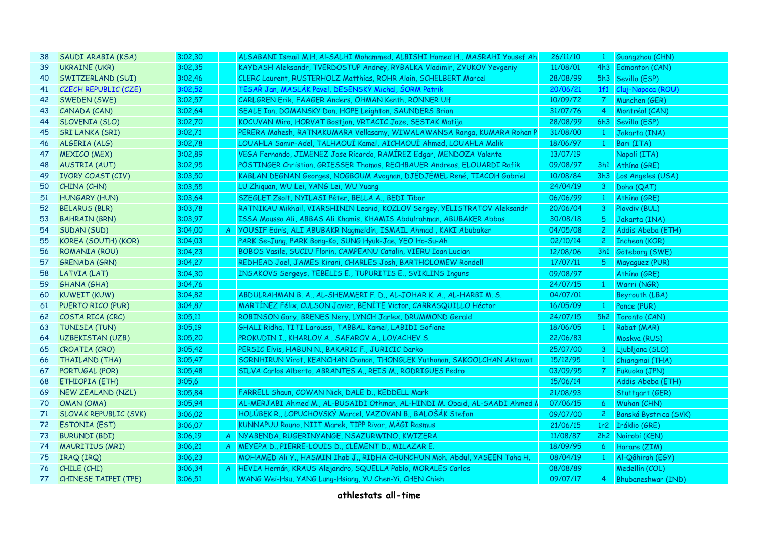| 38              | SAUDI ARABIA (KSA)           | 3:02,30 | ALSABANI Ismail M.H, Al-SALHI Mohammed, ALBISHI Hamed H., MASRAHI Yousef Ah. | 26/11/10 | $\mathbf{1}$     | Guangzhou (CHN)         |
|-----------------|------------------------------|---------|------------------------------------------------------------------------------|----------|------------------|-------------------------|
| 39              | <b>UKRAINE (UKR)</b>         | 3:02,35 | KAYDASH Aleksandr, TVERDOSTUP Andrey, RYBALKA Vladimir, ZYUKOV Yevgeniy      | 11/08/01 |                  | 4h3 Edmonton (CAN)      |
| 40              | SWITZERLAND (SUI)            | 3:02,46 | CLERC Laurent, RUSTERHOLZ Matthias, ROHR Alain, SCHELBERT Marcel             | 28/08/99 |                  | 5h3 Sevilla (ESP)       |
| 41              | <b>CZECH REPUBLIC (CZE)</b>  | 3:02,52 | TESAŘ Jan, MASLÁK Pavel, DESENSKÝ Michal, ŠORM Patrik                        | 20/06/21 | 1f1              | Cluj-Napoca (ROU)       |
| 42              | SWEDEN (SWE)                 | 3:02,57 | CARLGREN Erik, FAAGER Anders, ÖHMAN Kenth, RÖNNER Ulf                        | 10/09/72 | $7^{\circ}$      | München (GER)           |
| 43              | CANADA (CAN)                 | 3:02,64 | SEALE Ian, DOMANSKY Don, HOPE Leighton, SAUNDERS Brian                       | 31/07/76 | $\overline{4}$   | Montréal (CAN)          |
| 44              | SLOVENIA (SLO)               | 3:02,70 | KOCUVAN Miro, HORVAT Bostjan, VRTACIC Joze, SESTAK Matija                    | 28/08/99 |                  | 6h3 Sevilla (ESP)       |
| 45              | <b>SRI LANKA (SRI)</b>       | 3:02,71 | PERERA Mahesh, RATNAKUMARA Vellasamy, WIWALAWANSA Ranga, KUMARA Rohan F      | 31/08/00 | $\mathbf{1}$     | Jakarta (INA)           |
| 46              | ALGERIA (ALG)                | 3:02,78 | LOUAHLA Samir-Adel, TALHAOUÏ Kamel, AICHAOUÏ Ahmed, LOUAHLA Malik            | 18/06/97 | $\mathbf{1}$     | Bari (ITA)              |
| 47              | <b>MEXICO (MEX)</b>          | 3:02,89 | VEGA Fernando, JIMENEZ Jose Ricardo, RAMÍREZ Edgar, MENDOZA Valente          | 13/07/19 |                  | Napoli (ITA)            |
| 48              | <b>AUSTRIA (AUT)</b>         | 3:02,95 | PÖSTINGER Christian, GRIESSER Thomas, RECHBAUER Andreas, ELOUARDI Rafik      | 09/08/97 |                  | 3h1 Athína (GRE)        |
| 49              | <b>IVORY COAST (CIV)</b>     | 3:03,50 | KABLAN DEGNAN Georges, NOGBOUM Avognan, DJÉDJÉMEL René, TIACOH Gabriel       | 10/08/84 |                  | 3h3 Los Angeles (USA)   |
| 50              | CHINA (CHN)                  | 3:03,55 | LU Zhiquan, WU Lei, YANG Lei, WU Yuang                                       | 24/04/19 | 3 <sup>7</sup>   | Doha (QAT)              |
| 51              | <b>HUNGARY (HUN)</b>         | 3:03,64 | SZEGLET Zsolt, NYILASI Péter, BELLA A., BEDI Tibor                           | 06/06/99 | $\mathbf{1}$     | Athína (GRE)            |
| 52 <sub>2</sub> | <b>BELARUS (BLR)</b>         | 3:03,78 | RATNIKAU Mikhail, VIARSHININ Leanid, KOZLOV Sergey, YELISTRATOV Aleksandr    | 20/06/04 |                  | 3 Plovdiv (BUL)         |
| 53              | <b>BAHRAIN (BRN)</b>         | 3:03,97 | ISSA Moussa Ali, ABBAS Ali Khamis, KHAMIS Abdulrahman, ABUBAKER Abbas        | 30/08/18 | $5^{\circ}$      | Jakarta (INA)           |
| 54              | SUDAN (SUD)                  | 3:04,00 | A   YOUSIF Edris, ALI ABUBAKR Nagmeldin, ISMAIL Ahmad, KAKI Abubaker         | 04/05/08 | 2 <sup>1</sup>   | Addis Abeba (ETH)       |
| 55              | KOREA (SOUTH) (KOR)          | 3:04,03 | PARK Se-Jung, PARK Bong-Ko, SUNG Hyuk-Jae, YEO Ho-Su-Ah                      | 02/10/14 | $\mathbf{2}$     | <b>Incheon (KOR)</b>    |
| 56              | ROMANIA (ROU)                | 3:04.23 | BOBOS Vasile, SUCIU Florin, CAMPEANU Catalin, VIERU Ioan Lucian              | 12/08/06 |                  | 3h1 Göteborg (SWE)      |
| 57              | GRENADA (GRN)                | 3:04,27 | REDHEAD Joel, JAMES Kirani, CHARLES Josh, BARTHOLOMEW Rondell                | 17/07/11 | $5^{\circ}$      | Mayagüez (PUR)          |
| 58              | LATVIA (LAT)                 | 3:04,30 | INSAKOVS Sergeys, TEBELIS E., TUPURITIS E., SVIKLINS Inguns                  | 09/08/97 |                  | Athina (GRE)            |
| 59              | <b>GHANA (GHA)</b>           | 3:04,76 |                                                                              | 24/07/15 | $\mathbf{1}$     | Warri (NGR)             |
| 60              | <b>KUWEIT (KUW)</b>          | 3:04,82 | ABDULRAHMAN B. A., AL-SHEMMERI F. D., AL-JOHAR K. A., AL-HARBI M. S.         | 04/07/01 |                  | Beyrouth (LBA)          |
| 61              | PUERTO RICO (PUR)            | 3:04,87 | MARTÍNEZ Félix, CULSON Javier, BENÍTE Victor, CARRASQUILLO Héctor            | 16/05/09 | $\mathbf{1}$     | Ponce (PUR)             |
| 62              | COSTA RICA (CRC)             | 3:05,11 | ROBINSON Gary, BRENES Nery, LYNCH Jarlex, DRUMMOND Gerald                    | 24/07/15 | 5h2              | Toronto (CAN)           |
| 63              | TUNISIA (TUN)                | 3:05,19 | GHALI Ridha, TITI Laroussi, TABBAL Kamel, LABIDI Sofiane                     | 18/06/05 | $\mathbf{1}$     | Rabat (MAR)             |
| 64              | UZBEKISTAN (UZB)             | 3:05,20 | PROKUDIN I., KHARLOV A., SAFAROV A., LOVACHEV S.                             | 22/06/83 |                  | Moskva (RUS)            |
| 65              | CROATIA (CRO)                | 3:05,42 | PERSIC Elvis, HABUN N., BAKARIC F., JURICIC Darko                            | 25/07/00 | 3 <sup>7</sup>   | Ljubljana (SLO)         |
| 66              | THAILAND (THA)               | 3:05,47 | SORNHIRUN Virot, KEANCHAN Chanon, THONGLEK Yuthanan, SAKOOLCHAN Aktawat      | 15/12/95 | $\mathbf{1}$     | Chiangmai (THA)         |
| 67              | PORTUGAL (POR)               | 3:05,48 | SILVA Carlos Alberto, ABRANTES A., REIS M., RODRIGUES Pedro                  | 03/09/95 | 7 <sup>7</sup>   | Fukuoka (JPN)           |
| 68              | ETHIOPIA (ETH)               | 3:05,6  |                                                                              | 15/06/14 |                  | Addis Abeba (ETH)       |
| 69              | NEW ZEALAND (NZL)            | 3:05,84 | FARRELL Shaun, COWAN Nick, DALE D., KEDDELL Mark                             | 21/08/93 |                  | Stuttgart (GER)         |
| 70              | OMAN (OMA)                   | 3:05,94 | AL-MERJABI Ahmed M., AL-BUSAIDI Othman, AL-HINDI M. Obaid, AL-SAADI Ahmed M  | 07/06/15 | 6                | Wuhan (CHN)             |
| 71              | <b>SLOVAK REPUBLIC (SVK)</b> | 3:06,02 | HOLÚBEK R., LOPUCHOVSKÝ Marcel, VAZOVAN B., BALOŠÁK Stefan                   | 09/07/00 |                  | 2 Banská Bystrica (SVK) |
| 72              | ESTONIA (EST)                | 3:06,07 | KUNNAPUU Rauno, NIIT Marek, TIPP Rivar, MÄGI Rasmus                          | 21/06/15 |                  | 1r2 Iráklio (GRE)       |
| 73              | <b>BURUNDI (BDI)</b>         | 3:06,19 | A NYABENDA, RUGERINYANGE, NSAZURWINO, KWIZERA                                | 11/08/87 |                  | 2h2 Nairobi (KEN)       |
| 74              | <b>MAURITIUS (MRI)</b>       | 3:06,21 | A MEYEPA D., PIERRE-LOUIS D., CLÉMENT D., MILAZAR E.                         | 18/09/95 | 6                | Harare (ZIM)            |
| 75              | IRAQ (IRQ)                   | 3:06,23 | MOHAMED Ali Y., HASMIN Ihab J., RIDHA CHUNCHUN Moh. Abdul, YASEEN Taha H.    | 08/04/19 | $\ddot{\bullet}$ | Al-Qâhirah (EGY)        |
| 76              | CHILE (CHI)                  | 3:06,34 | A HEVIA Hernán, KRAUS Alejandro, SQUELLA Pablo, MORALES Carlos               | 08/08/89 |                  | Medellín (COL)          |
| 77              | <b>CHINESE TAIPEI (TPE)</b>  | 3:06,51 | WANG Wei-Hsu, YANG Lung-Hsiang, YU Chen-Yi, CHEN Chieh                       | 09/07/17 | $\overline{4}$   | Bhubaneshwar (IND)      |